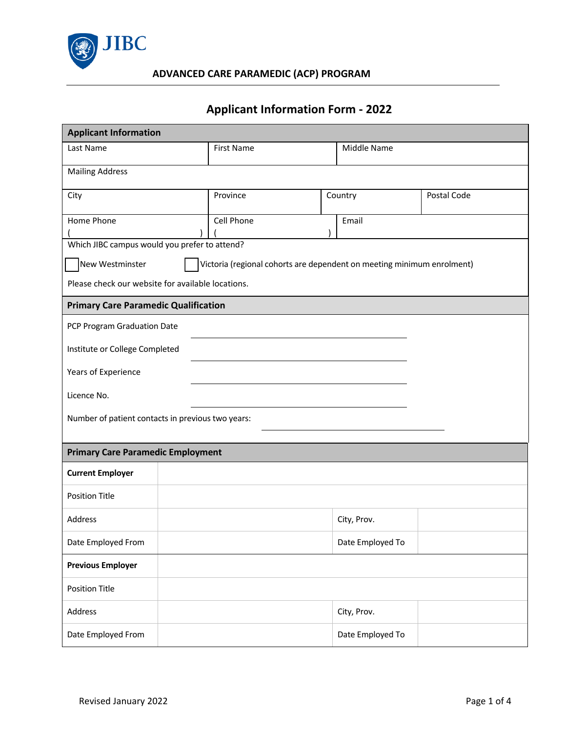

# **Applicant Information Form - 2022**

| <b>Applicant Information</b>                      |                   |  |                                                                        |             |  |
|---------------------------------------------------|-------------------|--|------------------------------------------------------------------------|-------------|--|
| Last Name                                         | <b>First Name</b> |  | Middle Name                                                            |             |  |
| <b>Mailing Address</b>                            |                   |  |                                                                        |             |  |
| City                                              | Province          |  | Country                                                                | Postal Code |  |
| Home Phone                                        | Cell Phone        |  | Email                                                                  |             |  |
| Which JIBC campus would you prefer to attend?     |                   |  |                                                                        |             |  |
| New Westminster                                   |                   |  | Victoria (regional cohorts are dependent on meeting minimum enrolment) |             |  |
| Please check our website for available locations. |                   |  |                                                                        |             |  |
| <b>Primary Care Paramedic Qualification</b>       |                   |  |                                                                        |             |  |
| PCP Program Graduation Date                       |                   |  |                                                                        |             |  |
| Institute or College Completed                    |                   |  |                                                                        |             |  |
| Years of Experience                               |                   |  |                                                                        |             |  |
| Licence No.                                       |                   |  |                                                                        |             |  |
| Number of patient contacts in previous two years: |                   |  |                                                                        |             |  |
| <b>Primary Care Paramedic Employment</b>          |                   |  |                                                                        |             |  |
| <b>Current Employer</b>                           |                   |  |                                                                        |             |  |
| <b>Position Title</b>                             |                   |  |                                                                        |             |  |
| Address                                           |                   |  | City, Prov.                                                            |             |  |
| Date Employed From                                |                   |  | Date Employed To                                                       |             |  |
| <b>Previous Employer</b>                          |                   |  |                                                                        |             |  |
| <b>Position Title</b>                             |                   |  |                                                                        |             |  |
| Address                                           |                   |  | City, Prov.                                                            |             |  |
| Date Employed From                                |                   |  | Date Employed To                                                       |             |  |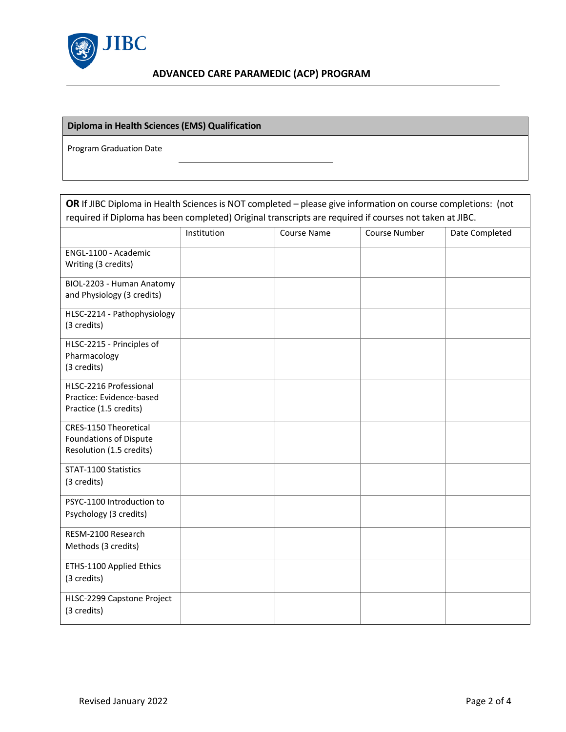

### **Diploma in Health Sciences (EMS) Qualification**

Program Graduation Date

| OR If JIBC Diploma in Health Sciences is NOT completed - please give information on course completions: (not |             |                    |               |                |  |
|--------------------------------------------------------------------------------------------------------------|-------------|--------------------|---------------|----------------|--|
| required if Diploma has been completed) Original transcripts are required if courses not taken at JIBC.      |             |                    |               |                |  |
|                                                                                                              | Institution | <b>Course Name</b> | Course Number | Date Completed |  |
| ENGL-1100 - Academic<br>Writing (3 credits)                                                                  |             |                    |               |                |  |
| BIOL-2203 - Human Anatomy<br>and Physiology (3 credits)                                                      |             |                    |               |                |  |
| HLSC-2214 - Pathophysiology<br>(3 credits)                                                                   |             |                    |               |                |  |
| HLSC-2215 - Principles of<br>Pharmacology<br>(3 credits)                                                     |             |                    |               |                |  |
| HLSC-2216 Professional<br>Practice: Evidence-based<br>Practice (1.5 credits)                                 |             |                    |               |                |  |
| CRES-1150 Theoretical<br><b>Foundations of Dispute</b><br>Resolution (1.5 credits)                           |             |                    |               |                |  |
| STAT-1100 Statistics<br>(3 credits)                                                                          |             |                    |               |                |  |
| PSYC-1100 Introduction to<br>Psychology (3 credits)                                                          |             |                    |               |                |  |
| RESM-2100 Research<br>Methods (3 credits)                                                                    |             |                    |               |                |  |
| ETHS-1100 Applied Ethics<br>(3 credits)                                                                      |             |                    |               |                |  |
| HLSC-2299 Capstone Project<br>(3 credits)                                                                    |             |                    |               |                |  |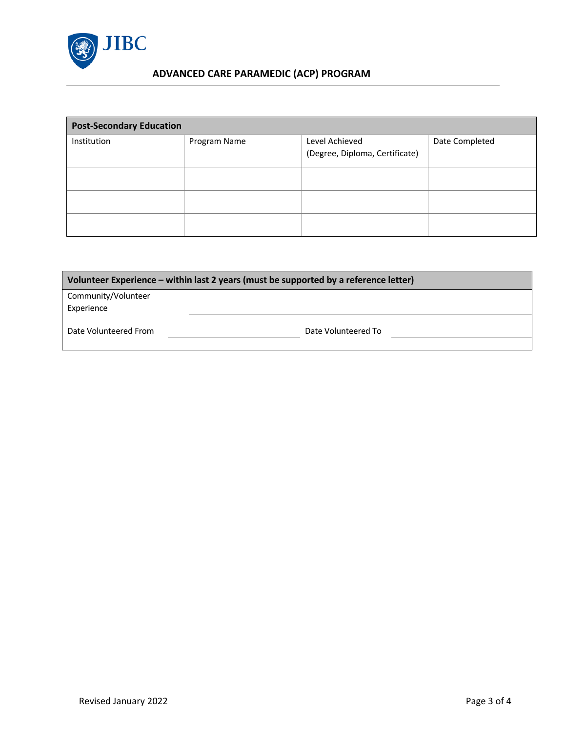

## **ADVANCED CARE PARAMEDIC (ACP) PROGRAM**

| <b>Post-Secondary Education</b> |              |                                                  |                |  |
|---------------------------------|--------------|--------------------------------------------------|----------------|--|
| Institution                     | Program Name | Level Achieved<br>(Degree, Diploma, Certificate) | Date Completed |  |
|                                 |              |                                                  |                |  |
|                                 |              |                                                  |                |  |
|                                 |              |                                                  |                |  |

| Volunteer Experience – within last 2 years (must be supported by a reference letter) |                     |  |  |
|--------------------------------------------------------------------------------------|---------------------|--|--|
| Community/Volunteer<br>Experience                                                    |                     |  |  |
| Date Volunteered From                                                                | Date Volunteered To |  |  |